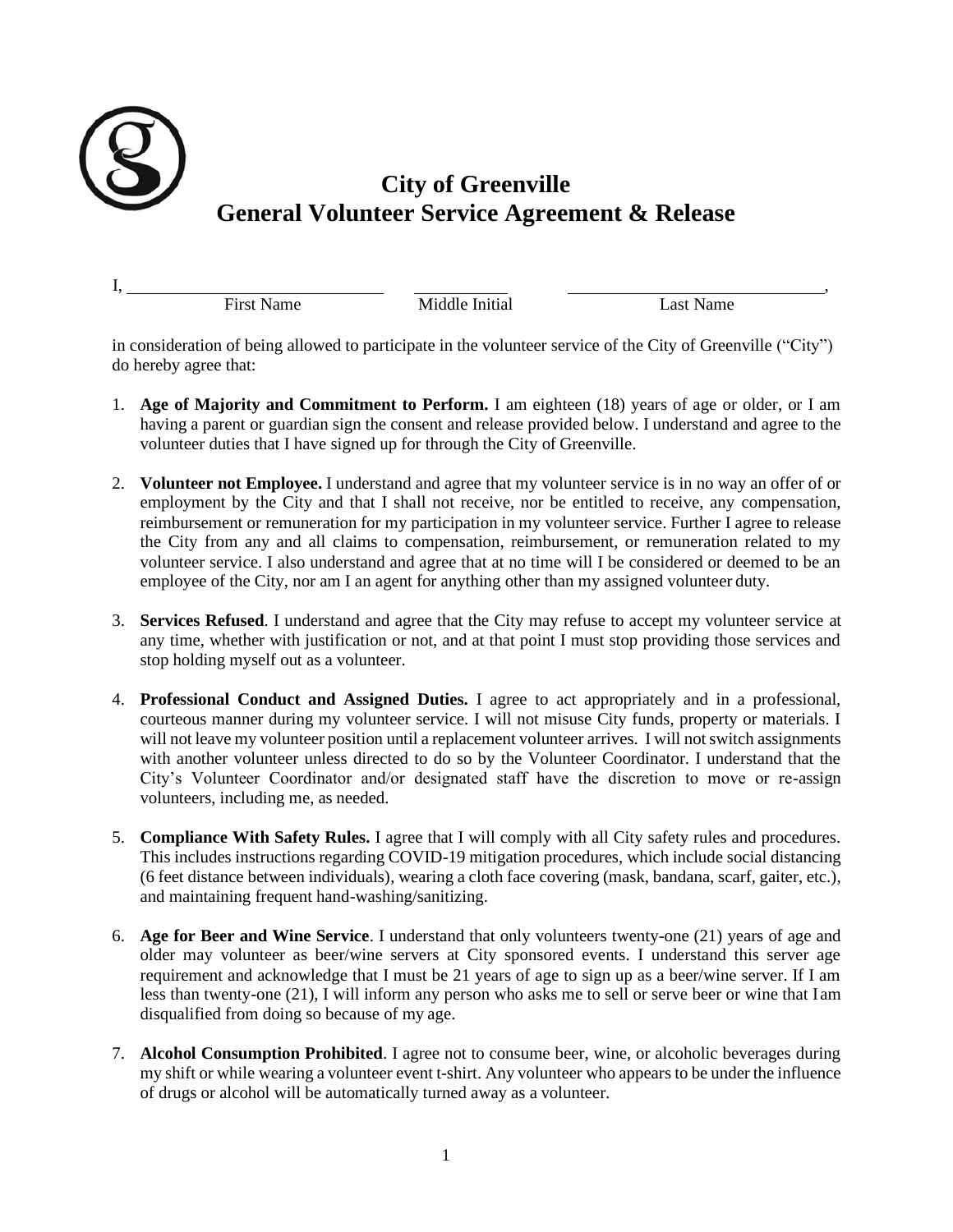

I, , First Name Middle Initial Last Name

in consideration of being allowed to participate in the volunteer service of the City of Greenville ("City") do hereby agree that:

- 1. **Age of Majority and Commitment to Perform.** I am eighteen (18) years of age or older, or I am having a parent or guardian sign the consent and release provided below. I understand and agree to the volunteer duties that I have signed up for through the City of Greenville.
- 2. **Volunteer not Employee.** I understand and agree that my volunteer service is in no way an offer of or employment by the City and that I shall not receive, nor be entitled to receive, any compensation, reimbursement or remuneration for my participation in my volunteer service. Further I agree to release the City from any and all claims to compensation, reimbursement, or remuneration related to my volunteer service. I also understand and agree that at no time will I be considered or deemed to be an employee of the City, nor am I an agent for anything other than my assigned volunteer duty.
- 3. **Services Refused**. I understand and agree that the City may refuse to accept my volunteer service at any time, whether with justification or not, and at that point I must stop providing those services and stop holding myself out as a volunteer.
- 4. **Professional Conduct and Assigned Duties.** I agree to act appropriately and in a professional, courteous manner during my volunteer service. I will not misuse City funds, property or materials. I will not leave my volunteer position until a replacement volunteer arrives. I will notswitch assignments with another volunteer unless directed to do so by the Volunteer Coordinator. I understand that the City's Volunteer Coordinator and/or designated staff have the discretion to move or re-assign volunteers, including me, as needed.
- 5. **Compliance With Safety Rules.** I agree that I will comply with all City safety rules and procedures. This includes instructions regarding COVID-19 mitigation procedures, which include social distancing (6 feet distance between individuals), wearing a cloth face covering (mask, bandana, scarf, gaiter, etc.), and maintaining frequent hand-washing/sanitizing.
- 6. **Age for Beer and Wine Service**. I understand that only volunteers twenty-one (21) years of age and older may volunteer as beer/wine servers at City sponsored events. I understand this server age requirement and acknowledge that I must be 21 years of age to sign up as a beer/wine server. If I am less than twenty-one (21), I will inform any person who asks me to sell or serve beer or wine that I am disqualified from doing so because of my age.
- 7. **Alcohol Consumption Prohibited**. I agree not to consume beer, wine, or alcoholic beverages during my shift or while wearing a volunteer event t-shirt. Any volunteer who appears to be under the influence of drugs or alcohol will be automatically turned away as a volunteer.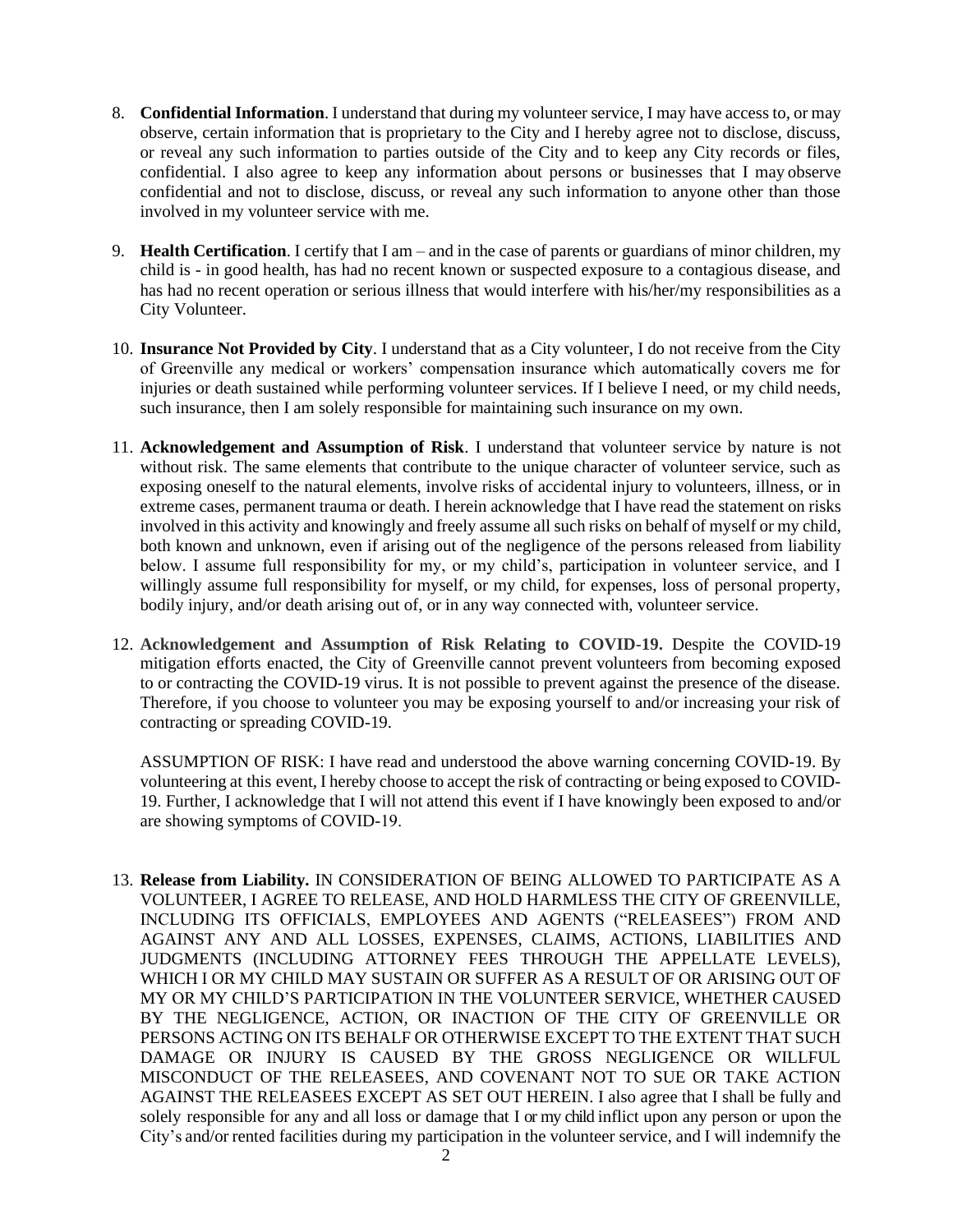- 8. **Confidential Information**. I understand that during my volunteer service, I may have access to, or may observe, certain information that is proprietary to the City and I hereby agree not to disclose, discuss, or reveal any such information to parties outside of the City and to keep any City records or files, confidential. I also agree to keep any information about persons or businesses that I may observe confidential and not to disclose, discuss, or reveal any such information to anyone other than those involved in my volunteer service with me.
- 9. **Health Certification**. I certify that I am and in the case of parents or guardians of minor children, my child is - in good health, has had no recent known or suspected exposure to a contagious disease, and has had no recent operation or serious illness that would interfere with his/her/my responsibilities as a City Volunteer.
- 10. **Insurance Not Provided by City**. I understand that as a City volunteer, I do not receive from the City of Greenville any medical or workers' compensation insurance which automatically covers me for injuries or death sustained while performing volunteer services. If I believe I need, or my child needs, such insurance, then I am solely responsible for maintaining such insurance on my own.
- 11. **Acknowledgement and Assumption of Risk**. I understand that volunteer service by nature is not without risk. The same elements that contribute to the unique character of volunteer service, such as exposing oneself to the natural elements, involve risks of accidental injury to volunteers, illness, or in extreme cases, permanent trauma or death. I herein acknowledge that I have read the statement on risks involved in this activity and knowingly and freely assume all such risks on behalf of myself or my child, both known and unknown, even if arising out of the negligence of the persons released from liability below. I assume full responsibility for my, or my child's, participation in volunteer service, and I willingly assume full responsibility for myself, or my child, for expenses, loss of personal property, bodily injury, and/or death arising out of, or in any way connected with, volunteer service.
- 12. **Acknowledgement and Assumption of Risk Relating to COVID-19.** Despite the COVID-19 mitigation efforts enacted, the City of Greenville cannot prevent volunteers from becoming exposed to or contracting the COVID-19 virus. It is not possible to prevent against the presence of the disease. Therefore, if you choose to volunteer you may be exposing yourself to and/or increasing your risk of contracting or spreading COVID-19.

ASSUMPTION OF RISK: I have read and understood the above warning concerning COVID-19. By volunteering at this event, I hereby choose to accept the risk of contracting or being exposed to COVID-19. Further, I acknowledge that I will not attend this event if I have knowingly been exposed to and/or are showing symptoms of COVID-19. 

13. **Release from Liability.** IN CONSIDERATION OF BEING ALLOWED TO PARTICIPATE AS A VOLUNTEER, I AGREE TO RELEASE, AND HOLD HARMLESS THE CITY OF GREENVILLE, INCLUDING ITS OFFICIALS, EMPLOYEES AND AGENTS ("RELEASEES") FROM AND AGAINST ANY AND ALL LOSSES, EXPENSES, CLAIMS, ACTIONS, LIABILITIES AND JUDGMENTS (INCLUDING ATTORNEY FEES THROUGH THE APPELLATE LEVELS), WHICH I OR MY CHILD MAY SUSTAIN OR SUFFER AS A RESULT OF OR ARISING OUT OF MY OR MY CHILD'S PARTICIPATION IN THE VOLUNTEER SERVICE, WHETHER CAUSED BY THE NEGLIGENCE, ACTION, OR INACTION OF THE CITY OF GREENVILLE OR PERSONS ACTING ON ITS BEHALF OR OTHERWISE EXCEPT TO THE EXTENT THAT SUCH DAMAGE OR INJURY IS CAUSED BY THE GROSS NEGLIGENCE OR WILLFUL MISCONDUCT OF THE RELEASEES, AND COVENANT NOT TO SUE OR TAKE ACTION AGAINST THE RELEASEES EXCEPT AS SET OUT HEREIN. I also agree that I shall be fully and solely responsible for any and all loss or damage that I or my child inflict upon any person or upon the City's and/or rented facilities during my participation in the volunteer service, and I will indemnify the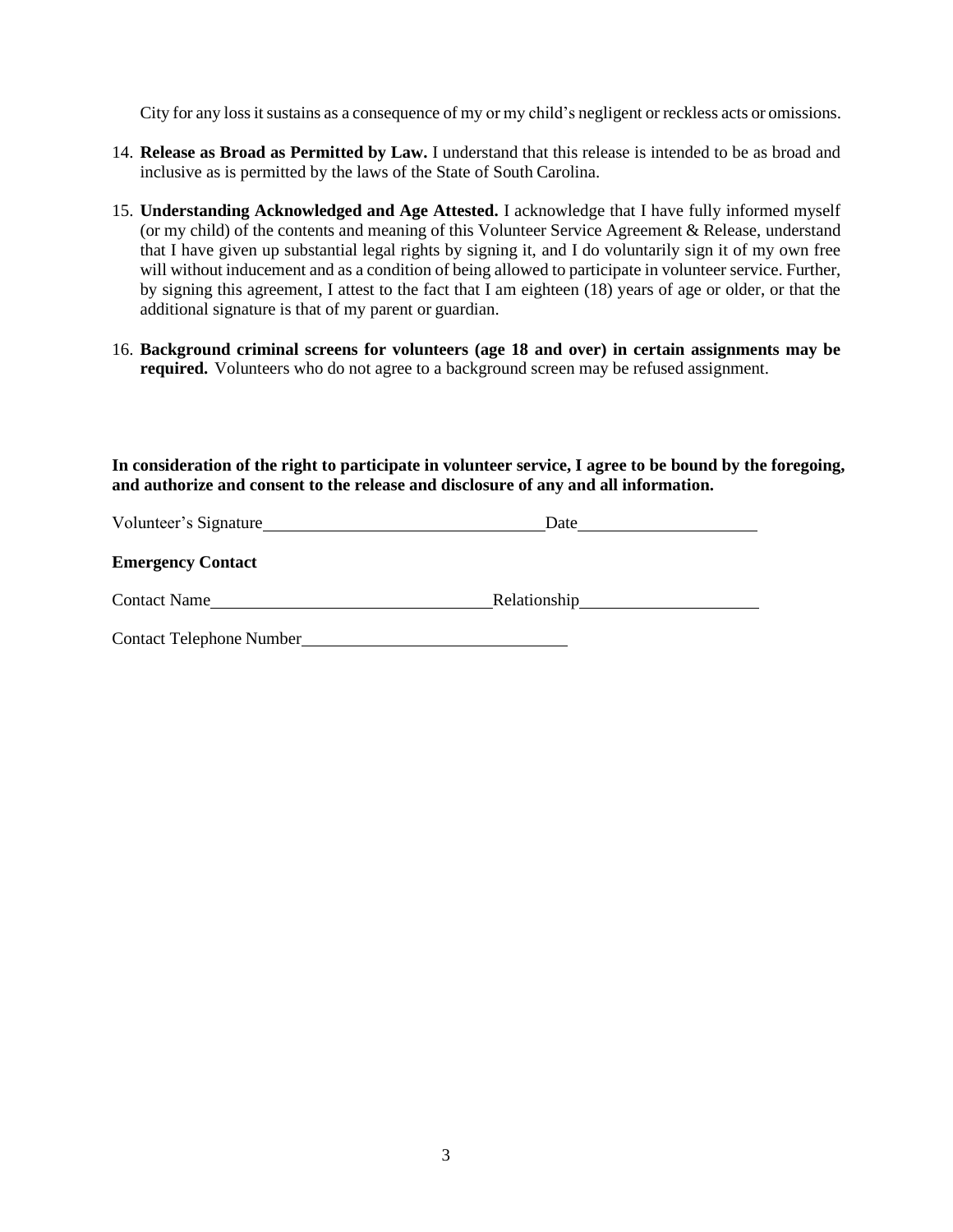City for any loss it sustains as a consequence of my or my child's negligent or reckless acts or omissions.

- 14. **Release as Broad as Permitted by Law.** I understand that this release is intended to be as broad and inclusive as is permitted by the laws of the State of South Carolina.
- 15. **Understanding Acknowledged and Age Attested.** I acknowledge that I have fully informed myself (or my child) of the contents and meaning of this Volunteer Service Agreement & Release, understand that I have given up substantial legal rights by signing it, and I do voluntarily sign it of my own free will without inducement and as a condition of being allowed to participate in volunteer service. Further, by signing this agreement, I attest to the fact that I am eighteen (18) years of age or older, or that the additional signature is that of my parent or guardian.
- 16. **Background criminal screens for volunteers (age 18 and over) in certain assignments may be required.** Volunteers who do not agree to a background screen may be refused assignment.

**In consideration of the right to participate in volunteer service, I agree to be bound by the foregoing, and authorize and consent to the release and disclosure of any and all information.**

| Volunteer's Signature    | Date         |  |
|--------------------------|--------------|--|
| <b>Emergency Contact</b> |              |  |
| <b>Contact Name</b>      | Relationship |  |
| Contact Telephone Number |              |  |